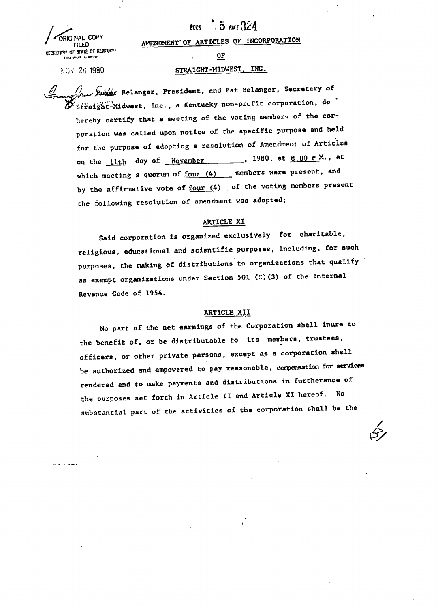ORIGINAL **COH> EVED AMENUMENT OF ANTENIES** 

#### . 5 PACE 324 **BODK**

FILED **AMENDMENT OF ARTICLES OF INCORPORATION** 

## NOV 26 1980 STRAIGHT-MIDWEST, INC.

Roger Belanger, President, and Pat Belanger, Secretary of  $\mathcal Y$  Straight-Midwest, Inc., a Kentucky non-profit corporation, do  $\mathcal Y$ hereby certify that a meeting of the voting members of the corporation was called upon notice of the specific purpose and held for the purpose of adopting a resolution of Amendment of Articles on the  $11$ th day of November 1980, at  $8:00 \text{ P M.}$ , at which meeting a quorum of  $f_{\text{Our (4)}}$  members were present, and by the affirmative vote of  $f_{\text{Our (4)}}$  of the voting members present the following resolution of amendment was adopted;

#### ARTICLE XI

Said corporation is organized exclusively for charitable, religious, educational and scientific purposes, including, for such purposes, the making of distributions to organizations that qualify as exempt organizations under Section 501 (C)(3) of the Internal Revenue Code of 1954.

### ARTICLE XII

No part of the net earnings of the Corporation shall inure to the benefit of, or be distributable to its members, trustees, officers, or other private persons, except as a corporation shall be authorized and empowered to pay reasonable , compensation for services rendered and to make payments and distributions in furtherance of the purposes set forth in Article II and Article XI hereof. No substantial part of the activities of the corporation shall be the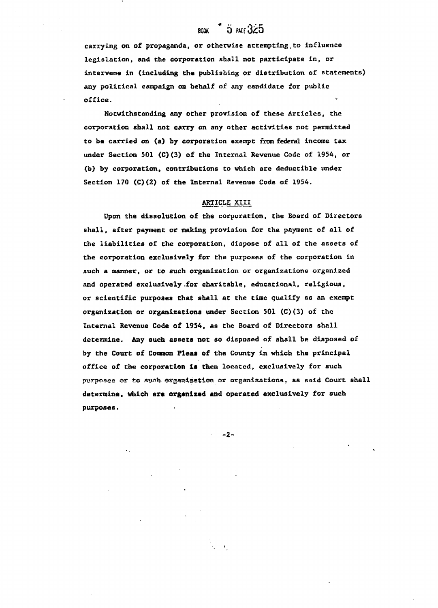# $B$ aak 5 part  $325$

carrying on of propaganda, or otherwise attempting.to influence legislation, and the corporation shall not participate in, or intervene in (including the publishing or distribution of statements) any political campaign on behalf of any candidate for public  $\delta$  office.

Notwithstanding any other provision of these Articles, the corporation shall not carry on any other activities not permitted to be carried on (a) by corporation exempt from federal income tax under Section 501 (C)(3) of the Internal Revenue Code of 1954, or (b) by corporation, contributions to which are deductible under Section 170 (C)(2) of the Internal Revenue Code of 1954.

## ARTICLE XIII

Upon the dissolution of the corporation, the Board of Directors shall, after payment or making provision for the payment of all of the liabilities of the corporation, dispose of all of the assets of the corporation exclusively for the purposes of the corporation in such a manner, or to such organization or organizations organized and operated exclusively .for charitable, educational, religious, or scientific purposes that shall at the time qualify as an exempt organization or organizations under Section 501 (C)(3) of the Internal Revenue Code of 1954, as the Board of Directors shall determine. Any such assets not so disposed of shall be disposed of by the Court of Common Pleaa of the County in which the principal office of the corporation is then located, exclusively for such purposes or to such organization or organizations, as said Court shall determine, which are organized and operated exclusively for such purposes.

-2-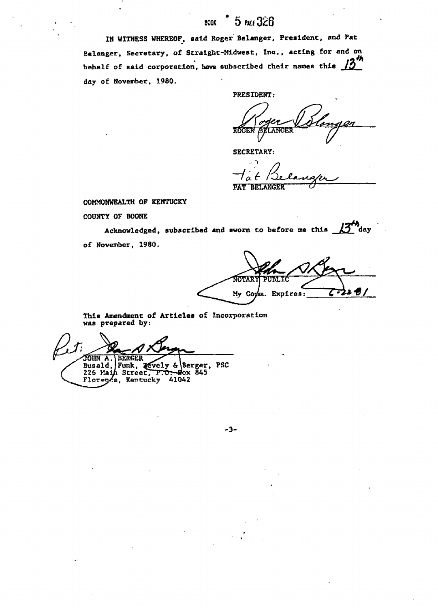#### 5 PACE 326 830K

IN WITNESS WHEREOF, said Roger Belanger, President, and Pat Belanger, Secretary, of Straight-Midwest, Inc., acting for and on  $2^{\frac{1}{n}}$ behalf of said corporation, have subscribed their names this  $f_2$ day of November, 1980.

PRESIDENT: dlit **ROGER!** LANGER

SECRETARY:

PAT BEIANGER

COMMONWEALTH OP KENTUCKY

COUNTY OF BOONE

Acknowledged, subscribed and sworn to before me this  $\Box$ day of November, 1980.

**NOTARY PUBLIC** アストグ My Comm. Expires:

This Amendment of Articles of Incorporation was prepared by.

"30HN A.\BERGER Busald, Funk, 20vely & Berger, PSC 226 Main Street, P.O. Wox 845 , Kentucky &1042

-3-